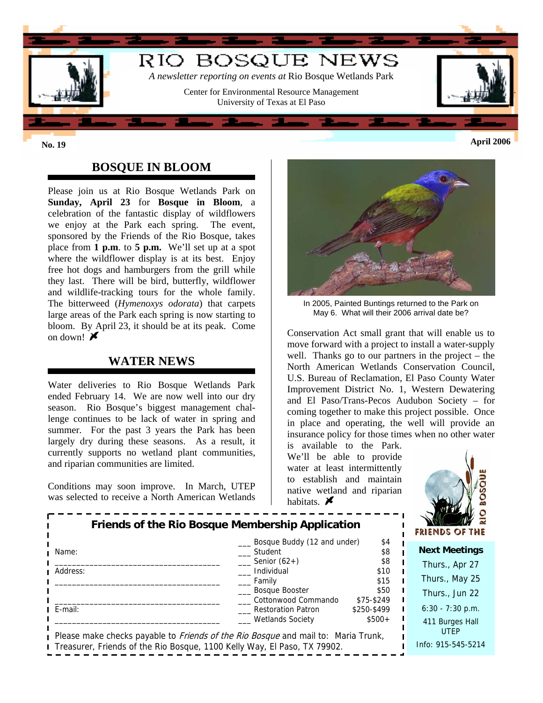

## **BOSQUE IN BLOOM**

Please join us at Rio Bosque Wetlands Park on **Sunday, April 23** for **Bosque in Bloom**, a celebration of the fantastic display of wildflowers we enjoy at the Park each spring. The event, sponsored by the Friends of the Rio Bosque, takes place from **1 p.m**. to **5 p.m.** We'll set up at a spot where the wildflower display is at its best. Enjoy free hot dogs and hamburgers from the grill while they last. There will be bird, butterfly, wildflower and wildlife-tracking tours for the whole family. The bitterweed (*Hymenoxys odorata*) that carpets large areas of the Park each spring is now starting to bloom. By April 23, it should be at its peak. Come on down!  $\mathbf{\mathcal{F}}$ 

### **WATER NEWS**

Water deliveries to Rio Bosque Wetlands Park ended February 14. We are now well into our dry season. Rio Bosque's biggest management challenge continues to be lack of water in spring and summer. For the past 3 years the Park has been largely dry during these seasons. As a result, it currently supports no wetland plant communities, and riparian communities are limited.

Conditions may soon improve. In March, UTEP was selected to receive a North American Wetlands



In 2005, Painted Buntings returned to the Park on May 6. What will their 2006 arrival date be?

Conservation Act small grant that will enable us to move forward with a project to install a water-supply well. Thanks go to our partners in the project – the North American Wetlands Conservation Council, U.S. Bureau of Reclamation, El Paso County Water Improvement District No. 1, Western Dewatering and El Paso/Trans-Pecos Audubon Society – for coming together to make this project possible. Once in place and operating, the well will provide an insurance policy for those times when no other water

is available to the Park. We'll be able to provide water at least intermittently to establish and maintain native wetland and riparian habitats.  $\blacktriangleright$ 



| Friends of the Rio Bosque Membership Application                                                                               |                                        |                    | $\overline{a}$<br><b>FRIENDS OF THE</b> |
|--------------------------------------------------------------------------------------------------------------------------------|----------------------------------------|--------------------|-----------------------------------------|
| Name:                                                                                                                          | Bosque Buddy (12 and under)<br>Student | \$4<br>\$8         | <b>Next Meetings</b>                    |
| Address:                                                                                                                       | Senior $(62+)$<br>Individual           | \$8<br>\$10        | Thurs., Apr 27                          |
|                                                                                                                                | Family                                 | \$15               | Thurs., May 25                          |
|                                                                                                                                | Bosque Booster<br>Cottonwood Commando  | \$50<br>\$75-\$249 | Thurs., Jun 22                          |
| E-mail:                                                                                                                        | Restoration Patron                     | \$250-\$499        | $6:30 - 7:30$ p.m.                      |
| <b>Wetlands Society</b><br>$$500+$<br>Please make checks payable to <i>Friends of the Rio Bosque</i> and mail to: Maria Trunk, |                                        |                    | 411 Burges Hall<br><b>UTEP</b>          |
| Treasurer, Friends of the Rio Bosque, 1100 Kelly Way, El Paso, TX 79902.                                                       |                                        |                    | Info: 915-545-5214                      |